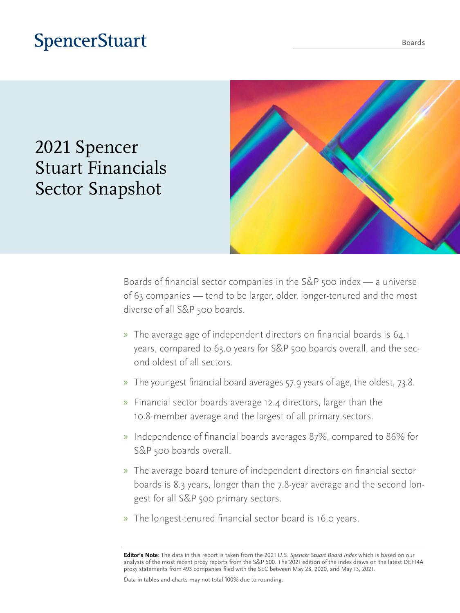## **SpencerStuart**

2021 Spencer

Stuart Financials

Sector Snapshot



Boards of financial sector companies in the S&P 500 index — a universe of 63 companies — tend to be larger, older, longer-tenured and the most diverse of all S&P 500 boards.

- » The average age of independent directors on financial boards is 64.1 years, compared to 63.0 years for S&P 500 boards overall, and the second oldest of all sectors.
- » The youngest financial board averages 57.9 years of age, the oldest, 73.8.
- » Financial sector boards average 12.4 directors, larger than the 10.8-member average and the largest of all primary sectors.
- » Independence of financial boards averages 87%, compared to 86% for S&P 500 boards overall.
- » The average board tenure of independent directors on financial sector boards is 8.3 years, longer than the 7.8-year average and the second longest for all S&P 500 primary sectors.
- » The longest-tenured financial sector board is 16.0 years.

**Editor's Note**: The data in this report is taken from the 2021 *U.S. Spencer Stuart Board Index* which is based on our analysis of the most recent proxy reports from the S&P 500. The 2021 edition of the index draws on the latest DEF14A proxy statements from 493 companies filed with the SEC between May 28, 2020, and May 13, 2021.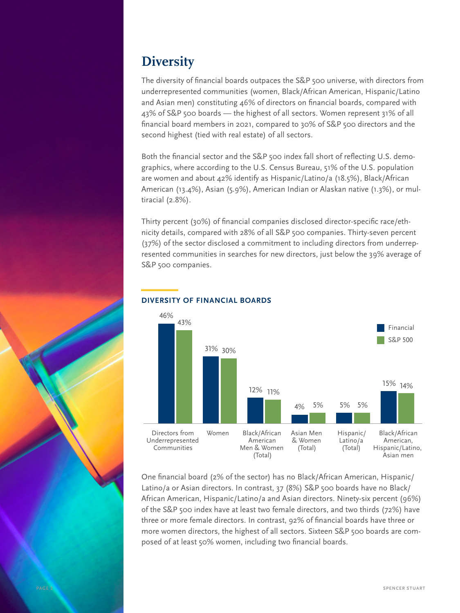### **Diversity**

The diversity of financial boards outpaces the S&P 500 universe, with directors from underrepresented communities (women, Black/African American, Hispanic/Latino and Asian men) constituting 46% of directors on financial boards, compared with 43% of S&P 500 boards — the highest of all sectors. Women represent 31% of all financial board members in 2021, compared to 30% of S&P 500 directors and the second highest (tied with real estate) of all sectors.

Both the financial sector and the S&P 500 index fall short of reflecting U.S. demographics, where according to the U.S. Census Bureau, 51% of the U.S. population are women and about 42% identify as Hispanic/Latino/a (18.5%), Black/African American (13.4%), Asian (5.9%), American Indian or Alaskan native (1.3%), or multiracial (2.8%).

Thirty percent (30%) of financial companies disclosed director-specific race/ethnicity details, compared with 28% of all S&P 500 companies. Thirty-seven percent (37%) of the sector disclosed a commitment to including directors from underrepresented communities in searches for new directors, just below the 39% average of S&P 500 companies.



#### **—DIVERSITY OF FINANCIAL BOARDS**

One financial board (2% of the sector) has no Black/African American, Hispanic/ Latino/a or Asian directors. In contrast, 37 (8%) S&P 500 boards have no Black/ African American, Hispanic/Latino/a and Asian directors. Ninety-six percent (96%) of the S&P 500 index have at least two female directors, and two thirds (72%) have three or more female directors. In contrast, 92% of financial boards have three or more women directors, the highest of all sectors. Sixteen S&P 500 boards are composed of at least 50% women, including two financial boards.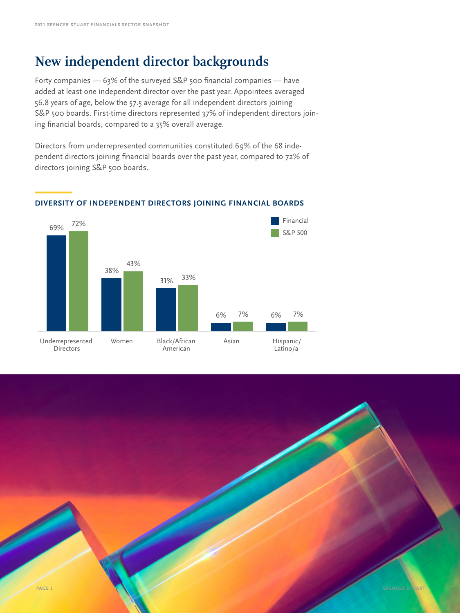### **New independent director backgrounds**

Forty companies — 63% of the surveyed S&P 500 financial companies — have added at least one independent director over the past year. Appointees averaged 56.8 years of age, below the 57.5 average for all independent directors joining S&P 500 boards. First-time directors represented 37% of independent directors joining financial boards, compared to a 35% overall average.

Directors from underrepresented communities constituted 69% of the 68 independent directors joining financial boards over the past year, compared to 72% of directors joining S&P 500 boards.



#### **—DIVERSITY OF INDEPENDENT DIRECTORS JOINING FINANCIAL BOARDS**

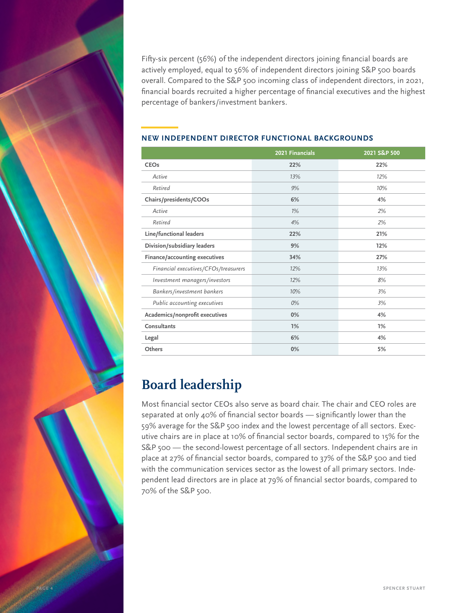Fifty-six percent (56%) of the independent directors joining financial boards are actively employed, equal to 56% of independent directors joining S&P 500 boards overall. Compared to the S&P 500 incoming class of independent directors, in 2021, financial boards recruited a higher percentage of financial executives and the highest percentage of bankers/investment bankers.

|                                      | 2021 Financials | 2021 S&P 500 |
|--------------------------------------|-----------------|--------------|
| <b>CEOs</b>                          | 22%             | 22%          |
| Active                               | 13%             | 12%          |
| Retired                              | 9%              | 10%          |
| Chairs/presidents/COOs               | 6%              | 4%           |
| Active                               | $1\%$           | 2%           |
| Retired                              | 4%              | 2%           |
| Line/functional leaders              | 22%             | 21%          |
| Division/subsidiary leaders          | 9%              | 12%          |
| Finance/accounting executives        | 34%             | 27%          |
| Financial executives/CFOs/treasurers | 12%             | 13%          |
| Investment managers/investors        | 12%             | 8%           |
| Bankers/investment bankers           | 10%             | 3%           |
| Public accounting executives         | 0%              | 3%           |
| Academics/nonprofit executives       | 0%              | 4%           |
| Consultants                          | 1%              | 1%           |
| Legal                                | 6%              | 4%           |
| Others                               | 0%              | 5%           |

#### **—NEW INDEPENDENT DIRECTOR FUNCTIONAL BACKGROUNDS**

### **Board leadership**

Most financial sector CEOs also serve as board chair. The chair and CEO roles are separated at only 40% of financial sector boards — significantly lower than the 59% average for the S&P 500 index and the lowest percentage of all sectors. Executive chairs are in place at 10% of financial sector boards, compared to 15% for the S&P 500 — the second-lowest percentage of all sectors. Independent chairs are in place at 27% of financial sector boards, compared to 37% of the S&P 500 and tied with the communication services sector as the lowest of all primary sectors. Independent lead directors are in place at 79% of financial sector boards, compared to 70% of the S&P 500.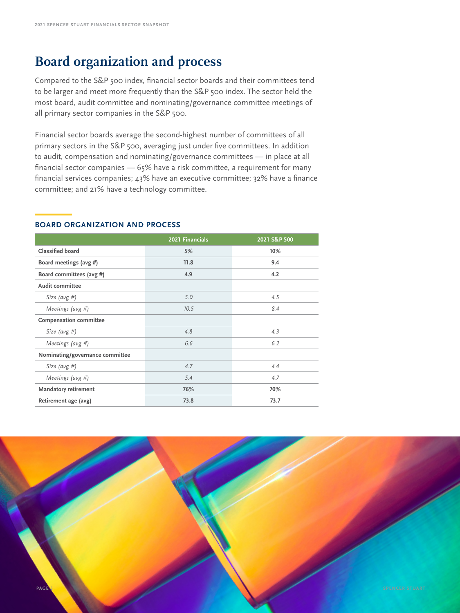### **Board organization and process**

Compared to the S&P 500 index, financial sector boards and their committees tend to be larger and meet more frequently than the S&P 500 index. The sector held the most board, audit committee and nominating/governance committee meetings of all primary sector companies in the S&P 500.

Financial sector boards average the second-highest number of committees of all primary sectors in the S&P 500, averaging just under five committees. In addition to audit, compensation and nominating/governance committees — in place at all financial sector companies — 65% have a risk committee, a requirement for many financial services companies; 43% have an executive committee; 32% have a finance committee; and 21% have a technology committee.

#### **—BOARD ORGANIZATION AND PROCESS**

|                                 | 2021 Financials | 2021 S&P 500 |
|---------------------------------|-----------------|--------------|
| Classified board                | 5%              | 10%          |
| Board meetings (avg #)          | 11.8            | 9.4          |
| Board committees (avg #)        | 4.9             | 4.2          |
| <b>Audit committee</b>          |                 |              |
| Size (avg #)                    | 5.0             | 4.5          |
| Meetings (avg $#$ )             | 10.5            | 8.4          |
| <b>Compensation committee</b>   |                 |              |
| Size (avg #)                    | 4.8             | 4.3          |
| Meetings (avg $#$ )             | 6.6             | 6.2          |
| Nominating/governance committee |                 |              |
| Size (avg #)                    | 4.7             | 4.4          |
| Meetings (avg $#$ )             | 5.4             | 4.7          |
| <b>Mandatory retirement</b>     | 76%             | 70%          |
| Retirement age (avg)            | 73.8            | 73.7         |

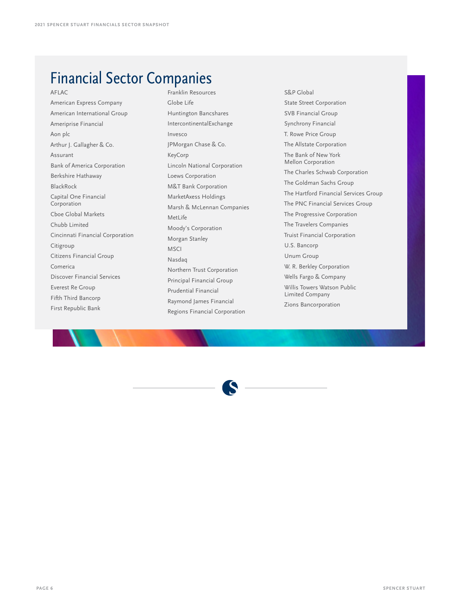## Financial Sector Companies

#### AFLAC

American Express Company American International Group Ameriprise Financial Aon plc Arthur J. Gallagher & Co. Assurant Bank of America Corporation Berkshire Hathaway BlackRock Capital One Financial Corporation Cboe Global Markets Chubb Limited Cincinnati Financial Corporation Citigroup Citizens Financial Group Comerica Discover Financial Services Everest Re Group Fifth Third Bancorp First Republic Bank

Franklin Resources Globe Life Huntington Bancshares IntercontinentalExchange Invesco JPMorgan Chase & Co. KeyCorp Lincoln National Corporation Loews Corporation M&T Bank Corporation MarketAxess Holdings Marsh & McLennan Companies MetLife Moody's Corporation Morgan Stanley MSCI Nasdaq Northern Trust Corporation Principal Financial Group Prudential Financial Raymond James Financial Regions Financial Corporation

S&P Global State Street Corporation SVB Financial Group Synchrony Financial T. Rowe Price Group The Allstate Corporation The Bank of New York Mellon Corporation The Charles Schwab Corporation The Goldman Sachs Group The Hartford Financial Services Group The PNC Financial Services Group The Progressive Corporation The Travelers Companies Truist Financial Corporation U.S. Bancorp Unum Group W. R. Berkley Corporation Wells Fargo & Company Willis Towers Watson Public Limited Company Zions Bancorporation